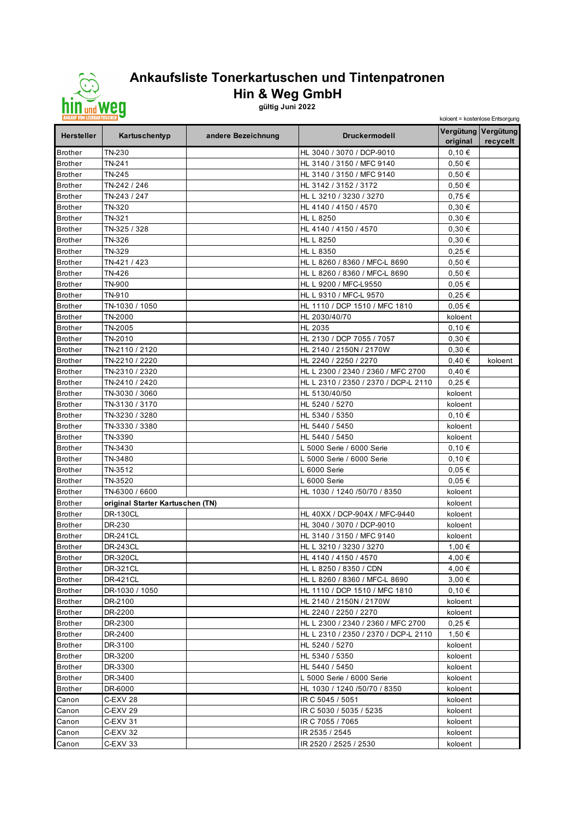

## **Ankaufsliste Tonerkartuschen und Tintenpatronen Hin & Weg GmbH**

**gültig Juni 2022**

| <b>ANKAUF VON LEERKARTUSCHEN</b> |                                  |                    | koloent = kostenlose Entsorgung           |                     |                                 |
|----------------------------------|----------------------------------|--------------------|-------------------------------------------|---------------------|---------------------------------|
| <b>Hersteller</b>                | Kartuschentyp                    | andere Bezeichnung | <b>Druckermodell</b>                      | original            | Vergütung Vergütung<br>recycelt |
| <b>Brother</b>                   | TN-230                           |                    | HL 3040 / 3070 / DCP-9010                 | 0,10€               |                                 |
| <b>Brother</b>                   | TN-241                           |                    | HL 3140 / 3150 / MFC 9140                 | 0,50€               |                                 |
| <b>Brother</b>                   | TN-245                           |                    | HL 3140 / 3150 / MFC 9140                 | 0,50€               |                                 |
| <b>Brother</b>                   | TN-242 / 246                     |                    | HL 3142 / 3152 / 3172                     | 0.50€               |                                 |
| <b>Brother</b>                   | TN-243 / 247                     |                    | HL L 3210 / 3230 / 3270                   | $0,75 \in$          |                                 |
| <b>Brother</b>                   | TN-320                           |                    | HL 4140 / 4150 / 4570                     | 0,30€               |                                 |
| <b>Brother</b>                   | TN-321                           |                    | HL L 8250                                 | 0,30€               |                                 |
| <b>Brother</b>                   | TN-325 / 328                     |                    | HL 4140 / 4150 / 4570                     | 0,30€               |                                 |
| <b>Brother</b>                   | TN-326                           |                    | HL L 8250                                 | 0,30€               |                                 |
| <b>Brother</b>                   | TN-329                           |                    | HL L 8350                                 | 0,25€               |                                 |
| <b>Brother</b>                   | TN-421 / 423                     |                    | HL L 8260 / 8360 / MFC-L 8690             | 0,50€               |                                 |
| <b>Brother</b>                   | TN-426                           |                    | HL L 8260 / 8360 / MFC-L 8690             | $0,50 \in$          |                                 |
| <b>Brother</b>                   | TN-900                           |                    | HL L 9200 / MFC-L9550                     | 0,05€               |                                 |
| <b>Brother</b>                   | TN-910                           |                    | HL L 9310 / MFC-L 9570                    | $0,25 \in$          |                                 |
| <b>Brother</b>                   | TN-1030 / 1050                   |                    | HL 1110 / DCP 1510 / MFC 1810             | 0,05€               |                                 |
| <b>Brother</b>                   | TN-2000                          |                    | HL 2030/40/70                             | koloent             |                                 |
| <b>Brother</b>                   | TN-2005                          |                    | HL 2035                                   | 0,10€               |                                 |
| <b>Brother</b>                   | TN-2010                          |                    | HL 2130 / DCP 7055 / 7057                 | 0,30€               |                                 |
| <b>Brother</b>                   | TN-2110 / 2120                   |                    | HL 2140 / 2150N / 2170W                   | 0,30€               |                                 |
| <b>Brother</b>                   | TN-2210 / 2220                   |                    | HL 2240 / 2250 / 2270                     | 0,40€               | koloent                         |
| <b>Brother</b>                   | TN-2310 / 2320                   |                    | HL L 2300 / 2340 / 2360 / MFC 2700        | 0,40€               |                                 |
| <b>Brother</b>                   | TN-2410 / 2420                   |                    | HL L 2310 / 2350 / 2370 / DCP-L 2110      | $0,25 \in$          |                                 |
| <b>Brother</b>                   | TN-3030 / 3060                   |                    | HL 5130/40/50                             | koloent             |                                 |
| <b>Brother</b>                   | TN-3130 / 3170                   |                    | HL 5240 / 5270                            | koloent             |                                 |
| <b>Brother</b>                   | TN-3230 / 3280                   |                    | HL 5340 / 5350                            | 0,10€               |                                 |
| <b>Brother</b>                   | TN-3330 / 3380                   |                    | HL 5440 / 5450                            | koloent             |                                 |
| <b>Brother</b>                   | TN-3390                          |                    | HL 5440 / 5450                            | koloent             |                                 |
| <b>Brother</b>                   | TN-3430                          |                    | L 5000 Serie / 6000 Serie                 | 0,10€               |                                 |
| <b>Brother</b>                   | TN-3480<br>TN-3512               |                    | L 5000 Serie / 6000 Serie<br>L 6000 Serie | 0,10€               |                                 |
| <b>Brother</b><br><b>Brother</b> | TN-3520                          |                    | L 6000 Serie                              | $0,05 \in$<br>0,05€ |                                 |
| <b>Brother</b>                   | TN-6300 / 6600                   |                    | HL 1030 / 1240 /50/70 / 8350              | koloent             |                                 |
| <b>Brother</b>                   | original Starter Kartuschen (TN) |                    |                                           | koloent             |                                 |
| <b>Brother</b>                   | DR-130CL                         |                    | HL 40XX / DCP-904X / MFC-9440             | koloent             |                                 |
| <b>Brother</b>                   | DR-230                           |                    | HL 3040 / 3070 / DCP-9010                 | koloent             |                                 |
| <b>Brother</b>                   | <b>DR-241CL</b>                  |                    | HL 3140 / 3150 / MFC 9140                 | koloent             |                                 |
| <b>Brother</b>                   | <b>DR-243CL</b>                  |                    | HL L 3210 / 3230 / 3270                   | 1,00 €              |                                 |
| <b>Brother</b>                   | <b>DR-320CL</b>                  |                    | HL 4140 / 4150 / 4570                     | 4,00 €              |                                 |
| <b>Brother</b>                   | DR-321CL                         |                    | HL L 8250 / 8350 / CDN                    | 4,00 €              |                                 |
| <b>Brother</b>                   | <b>DR-421CL</b>                  |                    | HL L 8260 / 8360 / MFC-L 8690             | 3,00€               |                                 |
| <b>Brother</b>                   | DR-1030 / 1050                   |                    | HL 1110 / DCP 1510 / MFC 1810             | 0,10€               |                                 |
| <b>Brother</b>                   | DR-2100                          |                    | HL 2140 / 2150N / 2170W                   | koloent             |                                 |
| <b>Brother</b>                   | DR-2200                          |                    | HL 2240 / 2250 / 2270                     | koloent             |                                 |
| <b>Brother</b>                   | DR-2300                          |                    | HL L 2300 / 2340 / 2360 / MFC 2700        | 0,25€               |                                 |
| <b>Brother</b>                   | DR-2400                          |                    | HL L 2310 / 2350 / 2370 / DCP-L 2110      | 1,50 €              |                                 |
| <b>Brother</b>                   | DR-3100                          |                    | HL 5240 / 5270                            | koloent             |                                 |
| <b>Brother</b>                   | DR-3200                          |                    | HL 5340 / 5350                            | koloent             |                                 |
| <b>Brother</b>                   | DR-3300                          |                    | HL 5440 / 5450                            | koloent             |                                 |
| <b>Brother</b>                   | DR-3400                          |                    | L 5000 Serie / 6000 Serie                 | koloent             |                                 |
| <b>Brother</b>                   | DR-6000                          |                    | HL 1030 / 1240 /50/70 / 8350              | koloent             |                                 |
| Canon                            | C-EXV 28                         |                    | IR C 5045 / 5051                          | koloent             |                                 |
| Canon                            | C-EXV 29                         |                    | IR C 5030 / 5035 / 5235                   | koloent             |                                 |
| Canon                            | C-EXV 31                         |                    | IR C 7055 / 7065                          | koloent             |                                 |
| Canon                            | C-EXV 32                         |                    | IR 2535 / 2545                            | koloent             |                                 |
| Canon                            | C-EXV 33                         |                    | IR 2520 / 2525 / 2530                     | koloent             |                                 |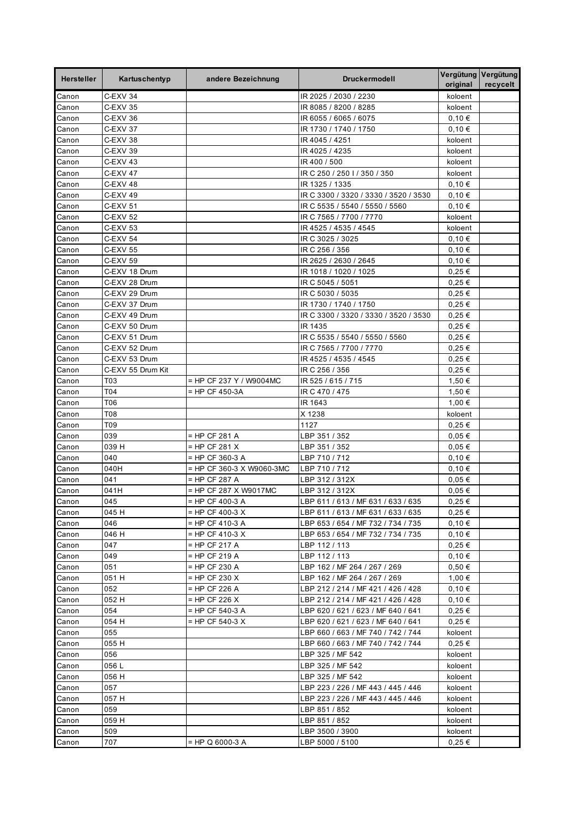| Hersteller | Kartuschentyp       | andere Bezeichnung        | <b>Druckermodell</b>                  | Vergütung Vergütung<br>original | recycelt |
|------------|---------------------|---------------------------|---------------------------------------|---------------------------------|----------|
| Canon      | C-EXV 34            |                           | IR 2025 / 2030 / 2230                 | koloent                         |          |
| Canon      | C-EXV 35            |                           | IR 8085 / 8200 / 8285                 | koloent                         |          |
| Canon      | C-EXV 36            |                           | IR 6055 / 6065 / 6075                 | 0,10€                           |          |
| Canon      | C-EXV 37            |                           | IR 1730 / 1740 / 1750                 | 0,10€                           |          |
| Canon      | C-EXV 38            |                           | IR 4045 / 4251                        | koloent                         |          |
| Canon      | C-EXV 39            |                           | IR 4025 / 4235                        | koloent                         |          |
| Canon      | C-EXV 43            |                           | IR 400 / 500                          | koloent                         |          |
| Canon      | <b>C-EXV 47</b>     |                           | IR C 250 / 250 I / 350 / 350          | koloent                         |          |
| Canon      | C-EXV 48            |                           | IR 1325 / 1335                        | 0,10€                           |          |
| Canon      | $C$ -EXV 49         |                           | IR C 3300 / 3320 / 3330 / 3520 / 3530 | 0,10€                           |          |
| Canon      | C-EXV 51            |                           | IR C 5535 / 5540 / 5550 / 5560        | 0,10€                           |          |
| Canon      | <b>C-EXV 52</b>     |                           | IR C 7565 / 7700 / 7770               | koloent                         |          |
| Canon      | C-EXV 53            |                           | IR 4525 / 4535 / 4545                 | koloent                         |          |
| Canon      | <b>C-EXV 54</b>     |                           | IR C 3025 / 3025                      | 0,10€                           |          |
| Canon      | <b>C-EXV 55</b>     |                           | IR C 256 / 356                        | 0,10€                           |          |
| Canon      | C-EXV <sub>59</sub> |                           | IR 2625 / 2630 / 2645                 | 0,10€                           |          |
| Canon      | C-EXV 18 Drum       |                           | IR 1018 / 1020 / 1025                 | $0,25 \in$                      |          |
| Canon      | C-EXV 28 Drum       |                           | IR C 5045 / 5051                      | $0,25 \in$                      |          |
| Canon      | C-EXV 29 Drum       |                           | IR C 5030 / 5035                      | $0,25 \in$                      |          |
| Canon      | C-EXV 37 Drum       |                           | IR 1730 / 1740 / 1750                 | $0,25 \in$                      |          |
| Canon      | C-EXV 49 Drum       |                           | IR C 3300 / 3320 / 3330 / 3520 / 3530 | $0,25 \in$                      |          |
| Canon      | C-EXV 50 Drum       |                           | IR 1435                               | $0,25 \in$                      |          |
| Canon      | C-EXV 51 Drum       |                           | IR C 5535 / 5540 / 5550 / 5560        | $0.25 \in$                      |          |
| Canon      | C-EXV 52 Drum       |                           | IR C 7565 / 7700 / 7770               | $0,25 \in$                      |          |
| Canon      | C-EXV 53 Drum       |                           | IR 4525 / 4535 / 4545                 | $0,25 \in$                      |          |
| Canon      | C-EXV 55 Drum Kit   |                           | IR C 256 / 356                        | $0,25 \in$                      |          |
| Canon      | T03                 | = HP CF 237 Y / W9004MC   | IR 525 / 615 / 715                    | 1,50 €                          |          |
| Canon      | T04                 | = HP CF 450-3A            | IR C 470 / 475                        | 1,50 €                          |          |
| Canon      | T06                 |                           | IR 1643                               | 1,00 €                          |          |
| Canon      | T08                 |                           | X 1238                                | koloent                         |          |
| Canon      | T09                 |                           | 1127                                  | 0,25€                           |          |
| Canon      | 039                 | = HP CF 281 A             | LBP 351 / 352                         | $0,05 \in$                      |          |
| Canon      | 039 H               | = HP CF 281 X             | LBP 351 / 352                         | 0,05€                           |          |
| Canon      | 040                 | = HP CF 360-3 A           | LBP 710 / 712                         | 0,10€                           |          |
| Canon      | 040H                | = HP CF 360-3 X W9060-3MC | LBP 710 / 712                         | 0,10€                           |          |
| Canon      | 041                 | = HP CF 287 A             | LBP 312 / 312X                        | $0,05 \in$                      |          |
| Canon      | 041H                | = HP CF 287 X W9017MC     | LBP 312 / 312X                        | $0,05 \in$                      |          |
| Canon      | 045                 | $=$ HP CF 400-3 A         | LBP 611 / 613 / MF 631 / 633 / 635    | $0,25 \in$                      |          |
| Canon      | 045 H               | $=$ HP CF 400-3 X         | LBP 611 / 613 / MF 631 / 633 / 635    | $0,25 \in$                      |          |
| Canon      | 046                 | = HP CF 410-3 A           | LBP 653 / 654 / MF 732 / 734 / 735    | 0,10€                           |          |
| Canon      | 046 H               | $=$ HP CF 410-3 X         | LBP 653 / 654 / MF 732 / 734 / 735    | 0,10€                           |          |
| Canon      | 047                 | $=$ HP CF 217 A           | LBP 112 / 113                         | 0,25€                           |          |
| Canon      | 049                 | = HP CF 219 A             | LBP 112 / 113                         | 0,10€                           |          |
| Canon      | 051                 | = HP CF 230 A             | LBP 162 / MF 264 / 267 / 269          | 0,50€                           |          |
| Canon      | 051 H               | = HP CF 230 X             | LBP 162 / MF 264 / 267 / 269          | 1,00 €                          |          |
| Canon      | 052                 | = HP CF 226 A             | LBP 212 / 214 / MF 421 / 426 / 428    | 0,10€                           |          |
| Canon      | 052 H               | = HP CF 226 X             | LBP 212 / 214 / MF 421 / 426 / 428    | 0,10€                           |          |
| Canon      | 054                 | = HP CF 540-3 A           | LBP 620 / 621 / 623 / MF 640 / 641    | $0,25 \in$                      |          |
| Canon      | 054 H               | $=$ HP CF 540-3 X         | LBP 620 / 621 / 623 / MF 640 / 641    | $0,25 \in$                      |          |
| Canon      | 055                 |                           | LBP 660 / 663 / MF 740 / 742 / 744    | koloent                         |          |
| Canon      | 055 H               |                           | LBP 660 / 663 / MF 740 / 742 / 744    | 0,25€                           |          |
| Canon      | 056                 |                           | LBP 325 / MF 542                      | koloent                         |          |
| Canon      | 056 L               |                           | LBP 325 / MF 542                      | koloent                         |          |
| Canon      | 056 H               |                           | LBP 325 / MF 542                      | koloent                         |          |
| Canon      | 057                 |                           | LBP 223 / 226 / MF 443 / 445 / 446    | koloent                         |          |
| Canon      | 057 H               |                           | LBP 223 / 226 / MF 443 / 445 / 446    | koloent                         |          |
| Canon      | 059                 |                           | LBP 851 / 852                         | koloent                         |          |
| Canon      | 059 H               |                           | LBP 851 / 852                         | koloent                         |          |
| Canon      | 509                 |                           | LBP 3500 / 3900                       | koloent                         |          |
| Canon      | 707                 | = HP Q 6000-3 A           | LBP 5000 / 5100                       | 0,25€                           |          |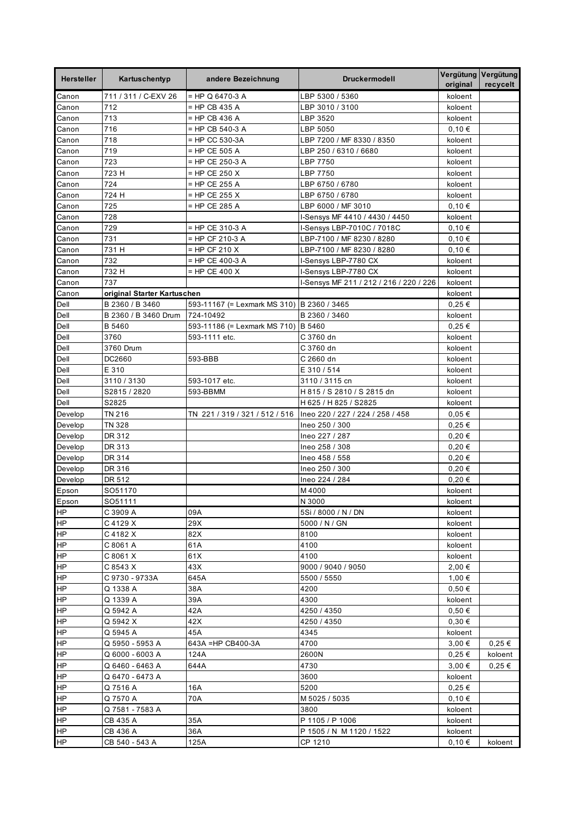| <b>Hersteller</b> | Kartuschentyp               | andere Bezeichnung             | <b>Druckermodell</b>                    | Vergütung Vergütung<br>original | recycelt |
|-------------------|-----------------------------|--------------------------------|-----------------------------------------|---------------------------------|----------|
| Canon             | 711 / 311 / C-EXV 26        | = HP Q 6470-3 A                | LBP 5300 / 5360                         | koloent                         |          |
| Canon             | 712                         | = HP CB 435 A                  | LBP 3010 / 3100                         | koloent                         |          |
| Canon             | 713                         | = HP CB 436 A                  | LBP 3520                                | koloent                         |          |
| Canon             | 716                         | $=$ HP CB 540-3 A              | LBP 5050                                | 0,10€                           |          |
| Canon             | 718                         | = HP CC 530-3A                 | LBP 7200 / MF 8330 / 8350               | koloent                         |          |
| Canon             | 719                         | = HP CE 505 A                  | LBP 250 / 6310 / 6680                   | koloent                         |          |
| Canon             | 723                         | = HP CE 250-3 A                | LBP 7750                                | koloent                         |          |
| Canon             | 723 H                       | $=$ HP CE 250 X                | LBP 7750                                | koloent                         |          |
| Canon             | 724                         | = HP CE 255 A                  | LBP 6750 / 6780                         | koloent                         |          |
| Canon             | 724 H                       | $=$ HP CE 255 X                | LBP 6750 / 6780                         | koloent                         |          |
| Canon             | 725                         | = HP CE 285 A                  | LBP 6000 / MF 3010                      | 0,10€                           |          |
| Canon             | 728                         |                                | I-Sensys MF 4410 / 4430 / 4450          | koloent                         |          |
| Canon             | 729                         | = HP CE 310-3 A                | I-Sensys LBP-7010C / 7018C              | 0,10€                           |          |
| Canon             | 731                         | = HP CF 210-3 A                | LBP-7100 / MF 8230 / 8280               | 0,10€                           |          |
| Canon             | 731 H                       | = HP CF 210 X                  | LBP-7100 / MF 8230 / 8280               | 0,10€                           |          |
| Canon             | 732                         | = HP CE 400-3 A                | I-Sensys LBP-7780 CX                    | koloent                         |          |
| Canon             | 732 H                       | = HP CE 400 X                  | I-Sensys LBP-7780 CX                    | koloent                         |          |
| Canon             | 737                         |                                | I-Sensys MF 211 / 212 / 216 / 220 / 226 | koloent                         |          |
| Canon             | original Starter Kartuschen |                                |                                         | koloent                         |          |
| Dell              | B 2360 / B 3460             | 593-11167 (= Lexmark MS 310)   | B 2360 / 3465                           | 0,25€                           |          |
| Dell              | B 2360 / B 3460 Drum        | 724-10492                      | B 2360 / 3460                           | koloent                         |          |
| Dell              | B 5460                      | 593-11186 (= Lexmark MS 710)   | <b>B</b> 5460                           | $0,25 \in$                      |          |
| Dell              | 3760                        | 593-1111 etc.                  | C 3760 dn                               | koloent                         |          |
| Dell              | 3760 Drum                   |                                | C 3760 dn                               | koloent                         |          |
| Dell              | DC2660                      | 593-BBB                        | C 2660 dn                               | koloent                         |          |
| Dell              | E 310                       |                                | E 310 / 514                             | koloent                         |          |
| Dell              | 3110 / 3130                 | 593-1017 etc.                  | 3110 / 3115 cn                          | koloent                         |          |
| Dell              | S2815 / 2820                | 593-BBMM                       | H 815 / S 2810 / S 2815 dn              | koloent                         |          |
| Dell              | S2825                       |                                | H 625 / H 825 / S2825                   | koloent                         |          |
| Develop           | TN 216                      | TN 221 / 319 / 321 / 512 / 516 | lneo 220 / 227 / 224 / 258 / 458        | $0,05 \in$                      |          |
| Develop           | <b>TN 328</b>               |                                | Ineo 250 / 300                          | $0,25 \in$                      |          |
| Develop           | DR 312                      |                                | Ineo 227 / 287                          | $0,20 \in$                      |          |
| Develop           | DR 313                      |                                | Ineo 258 / 308                          | $0,20 \in$                      |          |
| Develop           | DR 314                      |                                | lneo 458 / 558                          | $0,20 \in$                      |          |
| Develop           | DR 316                      |                                | Ineo 250 / 300                          | $0,20 \in$                      |          |
| Develop           | DR 512                      |                                | Ineo 224 / 284                          | 0.20€                           |          |
| Epson             | SO51170                     |                                | M4000                                   | koloent                         |          |
| Epson             | SO51111                     |                                | N 3000                                  | koloent                         |          |
| <b>HP</b>         | C 3909 A                    | 09A                            | 5Si / 8000 / N / DN                     | koloent                         |          |
| <b>HP</b>         | C 4129 X                    | 29X                            | 5000 / N / GN                           | koloent                         |          |
| <b>HP</b>         | C 4182 X                    | 82X                            | 8100                                    | koloent                         |          |
| <b>HP</b>         | C 8061 A                    | 61A                            | 4100                                    | koloent                         |          |
| <b>HP</b>         | C 8061 X                    | 61X                            | 4100                                    | koloent                         |          |
| <b>HP</b>         | C 8543 X                    | 43X                            | 9000 / 9040 / 9050                      | 2,00 €                          |          |
| <b>HP</b>         | C 9730 - 9733A              | 645A                           | 5500 / 5550                             | 1,00 €                          |          |
| <b>HP</b>         | Q 1338 A                    | 38A                            | 4200                                    | 0,50€                           |          |
| <b>HP</b>         | Q 1339 A                    | 39A                            | 4300                                    | koloent                         |          |
| <b>HP</b>         | Q 5942 A                    | 42A                            | 4250 / 4350                             | 0,50€                           |          |
| <b>HP</b>         | Q 5942 X                    | 42X                            | 4250 / 4350                             | 0,30€                           |          |
| <b>HP</b>         | Q 5945 A                    | 45A                            | 4345                                    | koloent                         |          |
| <b>HP</b>         | Q 5950 - 5953 A             | 643A = HP CB400-3A             | 4700                                    | 3,00 €                          | 0,25€    |
| <b>HP</b>         | Q 6000 - 6003 A             | 124A                           | 2600N                                   | $0,25 \in$                      | koloent  |
| <b>HP</b>         | Q 6460 - 6463 A             | 644A                           | 4730                                    | 3,00€                           | 0,25€    |
| <b>HP</b>         | Q 6470 - 6473 A             |                                | 3600                                    | koloent                         |          |
| <b>HP</b>         | Q 7516 A                    | 16A                            | 5200                                    | 0,25€                           |          |
| <b>HP</b>         | Q 7570 A                    | 70A                            | M 5025 / 5035                           | 0,10€                           |          |
| <b>HP</b>         | Q 7581 - 7583 A             |                                | 3800                                    | koloent                         |          |
| <b>HP</b>         | CB 435 A                    | 35A                            | P 1105 / P 1006                         | koloent                         |          |
| <b>HP</b>         | CB 436 A                    | 36A                            | P 1505 / N M 1120 / 1522                | koloent                         |          |
| HP                | CB 540 - 543 A              | 125A                           | CP 1210                                 | 0,10€                           | koloent  |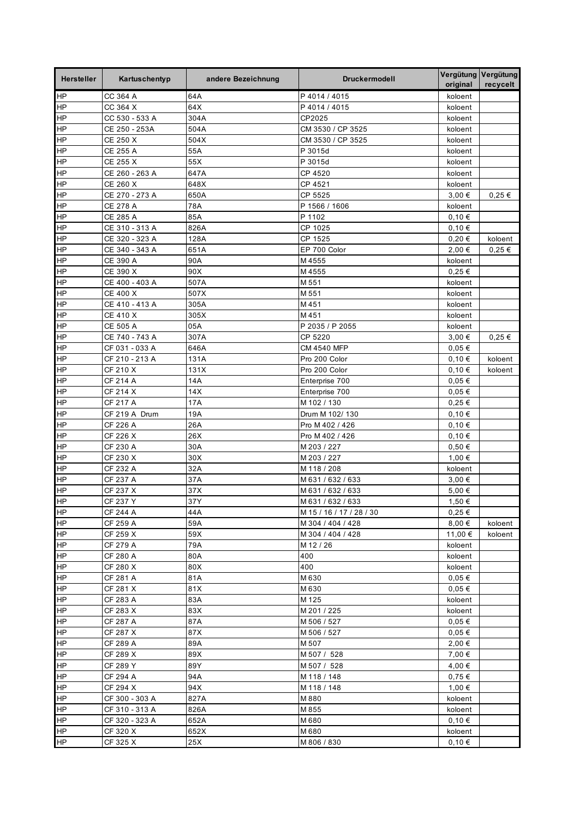| <b>Hersteller</b> | Kartuschentyp        | andere Bezeichnung | <b>Druckermodell</b>     | original        | Vergütung Vergütung<br>recycelt |
|-------------------|----------------------|--------------------|--------------------------|-----------------|---------------------------------|
| HP                | CC 364 A             | 64A                | P4014/4015               | koloent         |                                 |
| <b>HP</b>         | CC 364 X             | 64X                | P 4014 / 4015            | koloent         |                                 |
| <b>HP</b>         | CC 530 - 533 A       | 304A               | CP2025                   | koloent         |                                 |
| HP                | CE 250 - 253A        | 504A               | CM 3530 / CP 3525        | koloent         |                                 |
| ΗP                | CE 250 X             | 504X               | CM 3530 / CP 3525        | koloent         |                                 |
| HP                | CE 255 A             | 55A                | P 3015d                  | koloent         |                                 |
| <b>HP</b>         | CE 255 X             | 55X                | P 3015d                  | koloent         |                                 |
| $\overline{H}$    | CE 260 - 263 A       | 647A               | CP 4520                  | koloent         |                                 |
| <b>HP</b>         | CE 260 X             | 648X               | CP 4521                  | koloent         |                                 |
| <b>HP</b>         | CE 270 - 273 A       | 650A               | CP 5525                  | 3,00 €          | $0,25 \in$                      |
| <b>HP</b>         | <b>CE 278 A</b>      | 78A                | P 1566 / 1606            | koloent         |                                 |
| HP                | CE 285 A             | 85A                | P 1102                   | 0,10€           |                                 |
| ΗP                | CE 310 - 313 A       | 826A               | CP 1025                  | 0,10€           |                                 |
| ΗP                | CE 320 - 323 A       | 128A               | CP 1525                  | 0,20€           | koloent                         |
| <b>HP</b>         | CE 340 - 343 A       | 651A               | EP 700 Color             | 2,00 €          | $0,25 \in$                      |
| $\overline{H}$    | <b>CE 390 A</b>      | 90A                | M 4555                   | koloent         |                                 |
| ΗP                | CE 390 X             | 90X                | M4555                    | $0,25 \in$      |                                 |
| HP                | CE 400 - 403 A       | 507A               | M 551                    | koloent         |                                 |
| HP                | CE 400 X             | 507X               | M 551                    | koloent         |                                 |
| ΗP                | CE 410 - 413 A       | 305A               | M451                     | koloent         |                                 |
| ΗP                | CE 410 X             | 305X               | M451                     | koloent         |                                 |
| ΗP                | CE 505 A             | 05A                | P 2035 / P 2055          | koloent         |                                 |
| <b>HP</b>         | CE 740 - 743 A       | 307A               | CP 5220                  | 3,00 €          | 0,25€                           |
| $\overline{H}$    | CF 031 - 033 A       | 646A               | <b>CM 4540 MFP</b>       | 0,05€           |                                 |
| ΗP                | CF 210 - 213 A       | 131A               | Pro 200 Color            | 0,10€           | koloent                         |
| <b>HP</b>         | CF 210 X             | 131X               | Pro 200 Color            | 0,10€           | koloent                         |
| HP                | CF 214 A             | 14A                | Enterprise 700           | $0,05 \in$      |                                 |
| HP                | CF 214 X             | 14X                | Enterprise 700           | $0,05 \in$      |                                 |
| ΗP                | CF 217 A             | 17A                | M 102 / 130              | $0,25 \in$      |                                 |
| HP                | CF 219 A Drum        | 19A                | Drum M 102/130           | 0,10€           |                                 |
| ΗP                | CF 226 A             | 26A                | Pro M 402 / 426          | 0,10€           |                                 |
| <b>HP</b>         | CF 226 X             | 26X                | Pro M 402 / 426          | 0,10€           |                                 |
| ΗP                | CF 230 A             | 30A                | M 203 / 227              | 0,50€           |                                 |
| ΗP                | CF 230 X             | 30X                | M 203 / 227              | 1,00 €          |                                 |
| ΗP                | CF 232 A             | 32A                | M 118 / 208              | koloent         |                                 |
| <b>HP</b>         | CF 237 A             | 37A                | M 631 / 632 / 633        | 3,00 €          |                                 |
| ΗP                | CF 237 X             | 37X                | M 631 / 632 / 633        | 5,00 €          |                                 |
| HP                | CF 237 Y             | 37Y                | M 631 / 632 / 633        | 1,50 €          |                                 |
| <b>HP</b>         | CF 244 A             | 44A                | M 15 / 16 / 17 / 28 / 30 | $0,25 \in$      |                                 |
| <b>HP</b>         | CF 259 A             | 59A                | M 304 / 404 / 428        | 8,00€           | koloent                         |
| HP                | CF 259 X             | 59X                | M 304 / 404 / 428        | 11,00 €         | koloent                         |
| HP                | CF 279 A             | 79A                | M 12 / 26                | koloent         |                                 |
| HP                | CF 280 A             | 80A                | 400                      | koloent         |                                 |
| $\overline{H}$    | CF 280 X             | 80X                | 400                      | koloent         |                                 |
| <b>HP</b>         | CF 281 A             | 81A                | M 630                    | 0,05€           |                                 |
| <b>HP</b>         | CF 281 X             | 81X                | M 630                    | $0,05 \in$      |                                 |
| HP<br>HP          | CF 283 A             | 83A                | M 125                    | koloent         |                                 |
| HP                | CF 283 X             | 83X                | M 201 / 225              | koloent         |                                 |
| $\overline{H}$    | CF 287 A             | 87A                | M 506 / 527              | 0,05€           |                                 |
| HP                | CF 287 X             | 87X                | M 506 / 527              | $0,05 \in$      |                                 |
| <b>HP</b>         | CF 289 A             | 89A                | M 507                    | 2,00 €          |                                 |
|                   | CF 289 X             | 89X                | M 507 / 528              | 7,00 €          |                                 |
| <b>HP</b><br>HP   | CF 289 Y             | 89Y                | M 507 / 528              | 4,00 €          |                                 |
| <b>HP</b>         | CF 294 A<br>CF 294 X | 94A<br>94X         | M 118 / 148              | 0,75€<br>1,00 € |                                 |
| HP                | CF 300 - 303 A       | 827A               | M 118 / 148<br>M 880     | koloent         |                                 |
| HP                | CF 310 - 313 A       | 826A               | M 855                    | koloent         |                                 |
| <b>HP</b>         | CF 320 - 323 A       | 652A               | M 680                    | 0,10€           |                                 |
| <b>HP</b>         | CF 320 X             | 652X               | M 680                    | koloent         |                                 |
| HP                | CF 325 X             | 25X                | M 806 / 830              | 0,10€           |                                 |
|                   |                      |                    |                          |                 |                                 |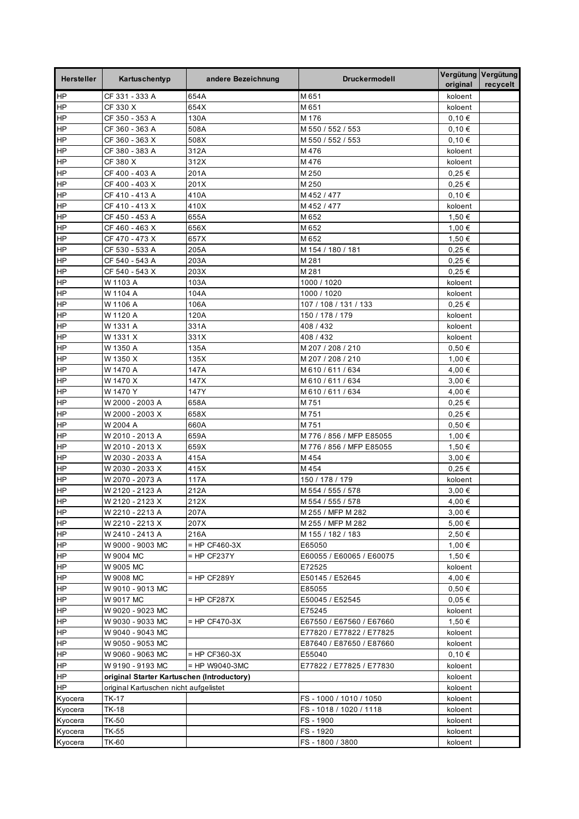| <b>Hersteller</b>           | Kartuschentyp                              | andere Bezeichnung | <b>Druckermodell</b>             | Vergütung Vergütung<br>original | recycelt |
|-----------------------------|--------------------------------------------|--------------------|----------------------------------|---------------------------------|----------|
| HP                          | CF 331 - 333 A                             | 654A               | M 651                            | koloent                         |          |
| <b>HP</b>                   | CF 330 X                                   | 654X               | M 651                            | koloent                         |          |
| <b>HP</b>                   | CF 350 - 353 A                             | 130A               | M 176                            | 0,10€                           |          |
| ΗP                          | CF 360 - 363 A                             | 508A               | M 550 / 552 / 553                | 0,10€                           |          |
| <b>HP</b>                   | CF 360 - 363 X                             | 508X               | M 550 / 552 / 553                | 0,10€                           |          |
| <b>HP</b>                   | CF 380 - 383 A                             | 312A               | M 476                            | koloent                         |          |
| <b>HP</b>                   | CF 380 X                                   | 312X               | M 476                            | koloent                         |          |
| <b>HP</b>                   | CF 400 - 403 A                             | 201A               | M 250                            | 0,25€                           |          |
| <b>HP</b>                   | CF 400 - 403 X                             | 201X               | M 250                            | $0.25 \in$                      |          |
| HP                          | CF 410 - 413 A                             | 410A               | M 452 / 477                      | 0,10€                           |          |
| <b>HP</b>                   | CF 410 - 413 X                             | 410X               | M 452 / 477                      | koloent                         |          |
| <b>HP</b>                   | CF 450 - 453 A                             | 655A               | M 652                            | 1,50 €                          |          |
| <b>HP</b>                   | CF 460 - 463 X                             | 656X               | M 652                            | 1,00 €                          |          |
| <b>HP</b>                   | CF 470 - 473 X                             | 657X               | M 652                            | 1,50 €                          |          |
| ĪНР                         | CF 530 - 533 A                             | 205A               | M 154 / 180 / 181                | $0,25 \in$                      |          |
| <b>HP</b>                   | CF 540 - 543 A                             | 203A               | M 281                            | 0,25€                           |          |
| <b>HP</b>                   | CF 540 - 543 X                             | 203X               | M 281                            | $0.25 \in$                      |          |
| <b>HP</b>                   | W 1103 A                                   | 103A               | 1000 / 1020                      | koloent                         |          |
| <b>HP</b>                   | W 1104 A                                   | 104A               | 1000 / 1020                      | koloent                         |          |
| ΗP                          | W 1106 A                                   | 106A               | 107 / 108 / 131 / 133            | 0,25€                           |          |
| <b>HP</b>                   | W 1120 A                                   | 120A               | 150 / 178 / 179                  | koloent                         |          |
| HP                          | W 1331 A                                   | 331A               | 408 / 432                        | koloent                         |          |
| <b>HP</b>                   | W 1331 X                                   | 331X               | 408 / 432                        | koloent                         |          |
| <b>HP</b>                   | W 1350 A                                   | 135A               | M 207 / 208 / 210                | 0,50€                           |          |
| <b>HP</b>                   | W 1350 X                                   | 135X               | M 207 / 208 / 210                | 1,00 €                          |          |
| <b>HP</b>                   | W 1470 A                                   | 147A               | M 610 / 611 / 634                | 4,00 €                          |          |
| <b>HP</b>                   | W 1470 X                                   | 147X               | M 610 / 611 / 634                | 3,00 €                          |          |
| ΗP                          | W 1470 Y                                   | 147Y               | M 610 / 611 / 634                | 4,00 €                          |          |
| HP                          | W 2000 - 2003 A                            | 658A               | M 751                            | $0,25 \in$                      |          |
| <b>HP</b><br>H <sub>P</sub> | W 2000 - 2003 X                            | 658X               | M 751                            | $0,25 \in$                      |          |
| <b>HP</b>                   | W 2004 A<br>W 2010 - 2013 A                | 660A<br>659A       | M751<br>M 776 / 856 / MFP E85055 | $0,50 \in$<br>1,00 €            |          |
| HP                          | W 2010 - 2013 X                            | 659X               | M 776 / 856 / MFP E85055         | 1,50 €                          |          |
| HP                          | W 2030 - 2033 A                            | 415A               | M 454                            | 3,00 €                          |          |
| <b>HP</b>                   | W 2030 - 2033 X                            | 415X               | M 454                            | $0.25 \in$                      |          |
| ΗP                          | W 2070 - 2073 A                            | 117A               | 150 / 178 / 179                  | koloent                         |          |
| ΗP                          | W 2120 - 2123 A                            | 212A               | M 554 / 555 / 578                | $3,00 \in$                      |          |
| HP                          | W 2120 - 2123 X                            | 212X               | M 554 / 555 / 578                | 4,00 €                          |          |
| <b>HP</b>                   | W 2210 - 2213 A                            | 207A               | M 255 / MFP M 282                | 3,00 €                          |          |
| HP                          | W 2210 - 2213 X                            | 207X               | M 255 / MFP M 282                | 5,00 €                          |          |
| <b>HP</b>                   | W 2410 - 2413 A                            | 216A               | M 155 / 182 / 183                | 2,50 €                          |          |
| <b>HP</b>                   | W 9000 - 9003 MC                           | $=$ HP CF460-3X    | E65050                           | 1,00 €                          |          |
| HP                          | W 9004 MC                                  | = HP CF237Y        | E60055 / E60065 / E60075         | 1,50 €                          |          |
| HP                          | W 9005 MC                                  |                    | E72525                           | koloent                         |          |
| HP                          | W 9008 MC                                  | = HP CF289Y        | E50145 / E52645                  | 4,00 €                          |          |
| <b>HP</b>                   | W 9010 - 9013 MC                           |                    | E85055                           | 0,50€                           |          |
| HP                          | W 9017 MC                                  | $=$ HP CF287X      | E50045 / E52545                  | $0,05 \in$                      |          |
| HP                          | W 9020 - 9023 MC                           |                    | E75245                           | koloent                         |          |
| <b>HP</b>                   | W 9030 - 9033 MC                           | = HP CF470-3X      | E67550 / E67560 / E67660         | 1,50 €                          |          |
| <b>HP</b>                   | W 9040 - 9043 MC                           |                    | E77820 / E77822 / E77825         | koloent                         |          |
| <b>HP</b>                   | W 9050 - 9053 MC                           |                    | E87640 / E87650 / E87660         | koloent                         |          |
| HP                          | W 9060 - 9063 MC                           | $=$ HP CF360-3X    | E55040                           | $0,10 \in$                      |          |
| <b>HP</b>                   | W 9190 - 9193 MC                           | $=$ HP W9040-3MC   | E77822 / E77825 / E77830         | koloent                         |          |
| <b>HP</b>                   | original Starter Kartuschen (Introductory) |                    |                                  | koloent                         |          |
| <u>HP</u>                   | original Kartuschen nicht aufgelistet      |                    |                                  | koloent                         |          |
| Kyocera                     | <b>TK-17</b>                               |                    | FS - 1000 / 1010 / 1050          | koloent                         |          |
| Kyocera                     | TK-18                                      |                    | FS - 1018 / 1020 / 1118          | koloent                         |          |
| Kyocera                     | <b>TK-50</b>                               |                    | FS-1900                          | koloent                         |          |
| Kyocera                     | <b>TK-55</b>                               |                    | FS-1920                          | koloent                         |          |
| Kyocera                     | TK-60                                      |                    | FS-1800/3800                     | koloent                         |          |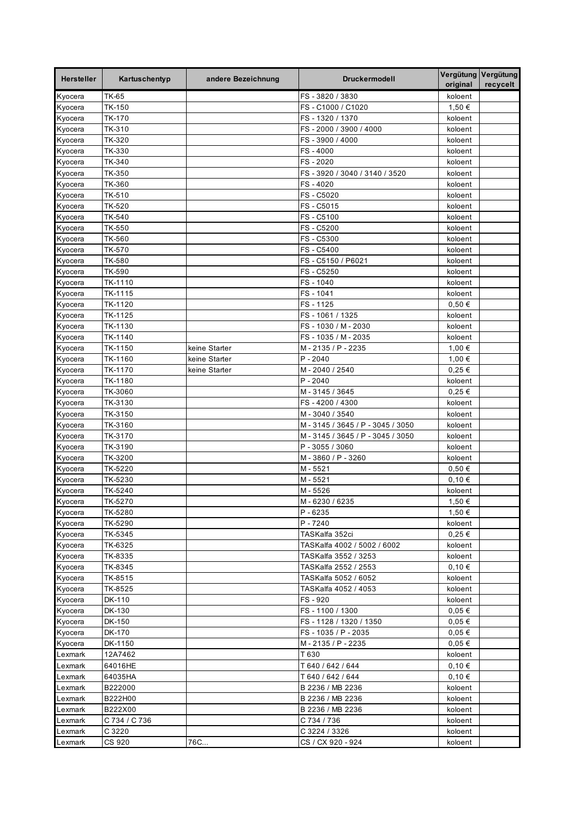| <b>Hersteller</b>  | Kartuschentyp      | andere Bezeichnung | <b>Druckermodell</b>                   | Vergütung Vergütung<br>original | recycelt |
|--------------------|--------------------|--------------------|----------------------------------------|---------------------------------|----------|
| Kyocera            | <b>TK-65</b>       |                    | FS-3820/3830                           | koloent                         |          |
| Kyocera            | TK-150             |                    | FS-C1000 / C1020                       | 1,50 €                          |          |
| Kyocera            | TK-170             |                    | FS-1320 / 1370                         | koloent                         |          |
| Kyocera            | TK-310             |                    | FS - 2000 / 3900 / 4000                | koloent                         |          |
| Kyocera            | TK-320             |                    | FS-3900/4000                           | koloent                         |          |
| Kyocera            | TK-330             |                    | FS-4000                                | koloent                         |          |
| Kyocera            | TK-340             |                    | FS-2020                                | koloent                         |          |
| Kyocera            | TK-350             |                    | FS - 3920 / 3040 / 3140 / 3520         | koloent                         |          |
| Kyocera            | TK-360             |                    | FS-4020                                | koloent                         |          |
| Kyocera            | TK-510             |                    | FS-C5020                               | koloent                         |          |
| Kyocera            | TK-520             |                    | FS-C5015                               | koloent                         |          |
| Kyocera            | TK-540             |                    | FS-C5100                               | koloent                         |          |
| Kyocera            | TK-550             |                    | FS-C5200                               | koloent                         |          |
| Kyocera            | TK-560             |                    | FS-C5300                               | koloent                         |          |
| Kyocera            | TK-570             |                    | FS-C5400                               | koloent                         |          |
| Kyocera            | TK-580             |                    | FS - C5150 / P6021                     | koloent                         |          |
| Kyocera            | TK-590             |                    | FS-C5250                               | koloent                         |          |
| Kyocera            | TK-1110<br>TK-1115 |                    | FS-1040<br>FS-1041                     | koloent                         |          |
| Kyocera<br>Kyocera | TK-1120            |                    | FS-1125                                | koloent<br>$0,50 \in$           |          |
| Kyocera            | TK-1125            |                    | FS - 1061 / 1325                       | koloent                         |          |
| Kyocera            | TK-1130            |                    | FS-1030 / M-2030                       | koloent                         |          |
| Kyocera            | TK-1140            |                    | FS - 1035 / M - 2035                   | koloent                         |          |
| Kyocera            | TK-1150            | keine Starter      | M-2135/P-2235                          | 1,00 €                          |          |
| Kyocera            | TK-1160            | keine Starter      | $P - 2040$                             | 1,00 €                          |          |
| Kyocera            | TK-1170            | keine Starter      | M-2040 / 2540                          | $0.25 \in$                      |          |
| Kyocera            | TK-1180            |                    | $P - 2040$                             | koloent                         |          |
| Kyocera            | TK-3060            |                    | M-3145 / 3645                          | $0,25 \in$                      |          |
| Kyocera            | TK-3130            |                    | FS-4200/4300                           | koloent                         |          |
| Kyocera            | TK-3150            |                    | M-3040 / 3540                          | koloent                         |          |
| Kyocera            | TK-3160            |                    | M-3145 / 3645 / P-3045 / 3050          | koloent                         |          |
| Kyocera            | TK-3170            |                    | M-3145 / 3645 / P-3045 / 3050          | koloent                         |          |
| Kyocera            | TK-3190            |                    | P - 3055 / 3060                        | koloent                         |          |
| Kyocera            | TK-3200            |                    | M-3860/P-3260                          | koloent                         |          |
| Kyocera            | TK-5220            |                    | M-5521                                 | 0,50€                           |          |
| Kyocera            | TK-5230            |                    | M-5521                                 | 0,10€                           |          |
| Kyocera            | TK-5240            |                    | M-5526                                 | koloent                         |          |
| Kyocera            | TK-5270            |                    | M-6230/6235                            | 1,50 €                          |          |
| Kyocera            | TK-5280            |                    | P-6235                                 | 1,50 €                          |          |
| Kyocera            | TK-5290            |                    | P-7240                                 | koloent                         |          |
| Kyocera            | TK-5345            |                    | TASKalfa 352ci                         | $0,25 \in$                      |          |
| Kyocera            | TK-6325            |                    | TASKalfa 4002 / 5002 / 6002            | koloent                         |          |
| Kyocera            | TK-8335            |                    | TASKalfa 3552 / 3253                   | koloent                         |          |
| Kyocera            | TK-8345            |                    | TASKalfa 2552 / 2553                   | 0,10€                           |          |
| Kyocera            | TK-8515            |                    | TASKalfa 5052 / 6052                   | koloent                         |          |
| Kyocera            | TK-8525            |                    | TASKalfa 4052 / 4053                   | koloent                         |          |
| Kyocera            | DK-110             |                    | FS - 920                               | koloent                         |          |
| Kyocera            | DK-130             |                    | FS - 1100 / 1300                       | $0,05 \in$                      |          |
| Kyocera            | DK-150             |                    | FS - 1128 / 1320 / 1350                | 0,05€                           |          |
| Kyocera            | DK-170             |                    | FS - 1035 / P - 2035                   | 0,05€                           |          |
| Kyocera            | DK-1150            |                    | M - 2135 / P - 2235                    | $0,05 \in$                      |          |
| Lexmark            | 12A7462            |                    | T 630                                  | koloent                         |          |
| Lexmark<br>Lexmark | 64016HE<br>64035HA |                    | T 640 / 642 / 644<br>T 640 / 642 / 644 | 0,10€<br>0,10€                  |          |
| Lexmark            | B222000            |                    | B 2236 / MB 2236                       | koloent                         |          |
| Lexmark            | B222H00            |                    | B 2236 / MB 2236                       | koloent                         |          |
| Lexmark            | B222X00            |                    | B 2236 / MB 2236                       | koloent                         |          |
| Lexmark            | C 734 / C 736      |                    | C 734 / 736                            | koloent                         |          |
| Lexmark            | C 3220             |                    | C 3224 / 3326                          | koloent                         |          |
| Lexmark            | CS 920             | 76C                | CS / CX 920 - 924                      | koloent                         |          |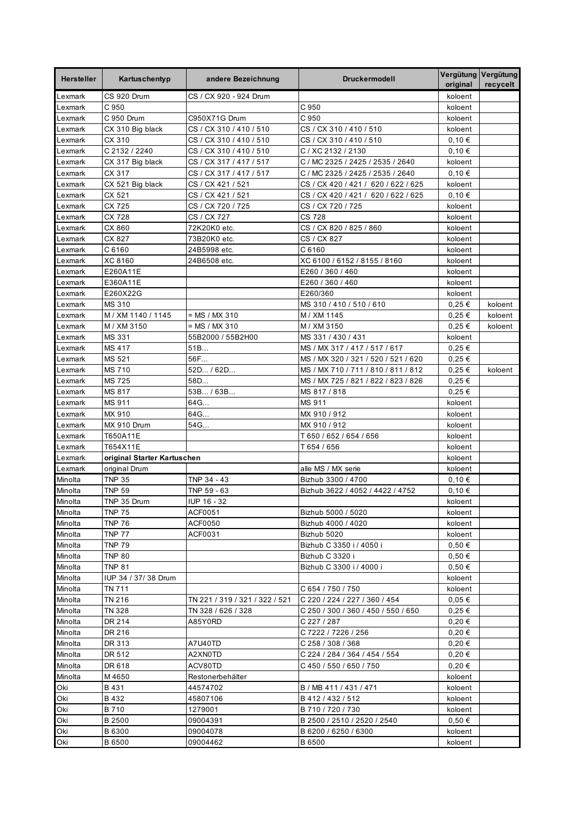| <b>Hersteller</b> | Kartuschentyp               | andere Bezeichnung             | <b>Druckermodell</b>                | original   | Vergütung Vergütung<br>recycelt |
|-------------------|-----------------------------|--------------------------------|-------------------------------------|------------|---------------------------------|
| Lexmark           | CS 920 Drum                 | CS / CX 920 - 924 Drum         |                                     | koloent    |                                 |
| Lexmark           | C 950                       |                                | C 950                               | koloent    |                                 |
| Lexmark           | C 950 Drum                  | C950X71G Drum                  | C 950                               | koloent    |                                 |
| Lexmark           | CX 310 Big black            | CS / CX 310 / 410 / 510        | CS / CX 310 / 410 / 510             | koloent    |                                 |
| Lexmark           | CX 310                      | CS / CX 310 / 410 / 510        | CS / CX 310 / 410 / 510             | 0,10€      |                                 |
| Lexmark           | C 2132 / 2240               | CS / CX 310 / 410 / 510        | C / XC 2132 / 2130                  | 0,10€      |                                 |
| Lexmark           | CX 317 Big black            | CS / CX 317 / 417 / 517        | C / MC 2325 / 2425 / 2535 / 2640    | koloent    |                                 |
| Lexmark           | CX 317                      | CS / CX 317 / 417 / 517        | C / MC 2325 / 2425 / 2535 / 2640    | 0,10€      |                                 |
| Lexmark           | CX 521 Big black            | CS / CX 421 / 521              | CS / CX 420 / 421 / 620 / 622 / 625 | koloent    |                                 |
| Lexmark           | CX 521                      | CS / CX 421 / 521              | CS / CX 420 / 421 / 620 / 622 / 625 | 0,10€      |                                 |
| Lexmark           | CX 725                      | CS / CX 720 / 725              | CS / CX 720 / 725                   | koloent    |                                 |
| Lexmark           | CX 728                      | CS / CX 727                    | <b>CS 728</b>                       | koloent    |                                 |
| Lexmark           | CX 860                      | 72K20K0 etc.                   | CS / CX 820 / 825 / 860             | koloent    |                                 |
| Lexmark           | CX 827                      | 73B20K0 etc.                   | CS / CX 827                         | koloent    |                                 |
| Lexmark           | C6160                       | 24B5998 etc.                   | C6160                               | koloent    |                                 |
| Lexmark           | XC 8160                     | 24B6508 etc.                   | XC 6100 / 6152 / 8155 / 8160        | koloent    |                                 |
| Lexmark           | E260A11E                    |                                | E260 / 360 / 460                    | koloent    |                                 |
| Lexmark           | E360A11E                    |                                | E260 / 360 / 460                    | koloent    |                                 |
| Lexmark           | E260X22G                    |                                | E260/360                            | koloent    |                                 |
| Lexmark           | <b>MS 310</b>               |                                | MS 310 / 410 / 510 / 610            | $0.25 \in$ | koloent                         |
| Lexmark           | M / XM 1140 / 1145          | = MS / MX 310                  | M / XM 1145                         | 0,25€      | koloent                         |
| Lexmark           | M / XM 3150                 | $= MS / MX 310$                | M / XM 3150                         | $0,25 \in$ | koloent                         |
| Lexmark           | MS 331                      | 55B2000 / 55B2H00              | MS 331 / 430 / 431                  | koloent    |                                 |
| Lexmark           | <b>MS 417</b>               | 51B                            | MS / MX 317 / 417 / 517 / 617       | 0,25€      |                                 |
| Lexmark           | MS 521                      | 56F                            | MS / MX 320 / 321 / 520 / 521 / 620 | $0.25 \in$ |                                 |
| Lexmark           | <b>MS 710</b>               | 52D / 62D                      | MS / MX 710 / 711 / 810 / 811 / 812 | $0,25 \in$ | koloent                         |
| Lexmark           | <b>MS 725</b>               | 58D                            | MS / MX 725 / 821 / 822 / 823 / 826 | $0,25 \in$ |                                 |
| Lexmark           | MS 817                      | 53B / 63B                      | MS 817 / 818                        | $0.25 \in$ |                                 |
| Lexmark           | MS 911                      | 64G                            | MS 911                              | koloent    |                                 |
| Lexmark           | MX 910                      | 64G                            | MX 910 / 912                        | koloent    |                                 |
| Lexmark           | MX 910 Drum                 | 54G                            | MX 910 / 912                        | koloent    |                                 |
| Lexmark           | T650A11E                    |                                | T 650 / 652 / 654 / 656             | koloent    |                                 |
| Lexmark           | T654X11E                    |                                | T 654 / 656                         | koloent    |                                 |
| Lexmark           | original Starter Kartuschen |                                |                                     | koloent    |                                 |
| Lexmark           | original Drum               |                                | alle MS / MX serie                  | koloent    |                                 |
| Minolta           | <b>TNP 35</b>               | TNP 34 - 43                    | Bizhub 3300 / 4700                  | 0,10€      |                                 |
| Minolta           | <b>TNP 59</b>               | TNP 59 - 63                    | Bizhub 3622 / 4052 / 4422 / 4752    | 0,10€      |                                 |
| Minolta           | TNP 35 Drum                 | IUP 16 - 32                    |                                     | koloent    |                                 |
| Minolta           | <b>TNP 75</b>               | ACF0051                        | Bizhub 5000 / 5020                  | koloent    |                                 |
| Minolta           | <b>TNP 76</b>               | ACF0050                        | Bizhub 4000 / 4020                  | koloent    |                                 |
| Minolta           | <b>TNP 77</b>               | ACF0031                        | Bizhub 5020                         | koloent    |                                 |
| Minolta           | <b>TNP 79</b>               |                                | Bizhub C 3350 i / 4050 i            | 0,50€      |                                 |
| Minolta           | <b>TNP 80</b>               |                                | Bizhub C 3320 i                     | 0,50€      |                                 |
| Minolta           | <b>TNP 81</b>               |                                | Bizhub C 3300 i / 4000 i            | 0,50€      |                                 |
| Minolta           | IUP 34 / 37/38 Drum         |                                |                                     | koloent    |                                 |
| Minolta           | TN 711                      |                                | C 654 / 750 / 750                   | koloent    |                                 |
| Minolta           | TN 216                      | TN 221 / 319 / 321 / 322 / 521 | C 220 / 224 / 227 / 360 / 454       | 0,05€      |                                 |
| Minolta           | TN 328                      | TN 328 / 626 / 328             | C 250 / 300 / 360 / 450 / 550 / 650 | 0,25€      |                                 |
| Minolta           | DR 214                      | A85Y0RD                        | C 227 / 287                         | 0,20€      |                                 |
| Minolta           | DR 216                      |                                | C 7222 / 7226 / 256                 | 0,20€      |                                 |
| Minolta           | DR 313                      | A7U40TD                        | C 258 / 308 / 368                   | 0,20€      |                                 |
| Minolta           | DR 512                      | A2XN0TD                        | C 224 / 284 / 364 / 454 / 554       | 0,20€      |                                 |
| Minolta           | DR 618                      | ACV80TD                        | C 450 / 550 / 650 / 750             | 0,20€      |                                 |
| Minolta           | M 4650                      | Restonerbehälter               |                                     | koloent    |                                 |
| Oki               | B 431                       | 44574702                       | B / MB 411 / 431 / 471              | koloent    |                                 |
| Oki               | B 432                       | 45807106                       | B 412 / 432 / 512                   | koloent    |                                 |
| Oki               | B 710                       | 1279001                        | B 710 / 720 / 730                   | koloent    |                                 |
| Oki               | B 2500                      | 09004391                       | B 2500 / 2510 / 2520 / 2540         | 0,50€      |                                 |
| Oki               | B 6300                      | 09004078                       | B 6200 / 6250 / 6300                | koloent    |                                 |
| Oki               | B 6500                      | 09004462                       | B 6500                              | koloent    |                                 |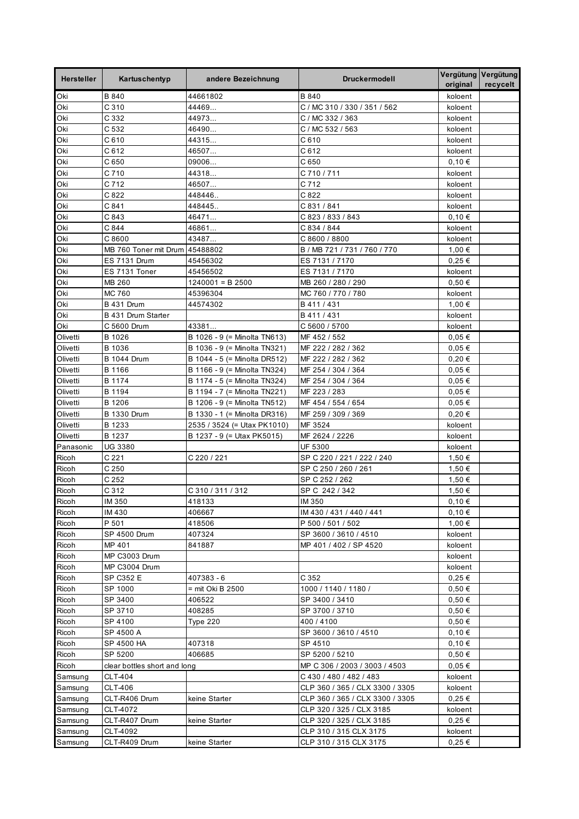| <b>Hersteller</b> | Kartuschentyp                | andere Bezeichnung             | <b>Druckermodell</b>            | Vergütung Vergütung<br>original | recycelt |
|-------------------|------------------------------|--------------------------------|---------------------------------|---------------------------------|----------|
| Oki               | B 840                        | 44661802                       | B 840                           | koloent                         |          |
| Oki               | C <sub>310</sub>             | 44469                          | C / MC 310 / 330 / 351 / 562    | koloent                         |          |
| Oki               | C 332                        | 44973                          | C / MC 332 / 363                | koloent                         |          |
| Oki               | C 532                        | 46490                          | C / MC 532 / 563                | koloent                         |          |
| Oki               | C 610                        | 44315                          | C 610                           | koloent                         |          |
| Oki               | C 612                        | 46507                          | C612                            | koloent                         |          |
| Oki               | C 650                        | 09006                          | C 650                           | 0,10€                           |          |
| Oki               | C 710                        | 44318                          | C 710 / 711                     | koloent                         |          |
| Oki               | C 712                        | 46507                          | C 712                           | koloent                         |          |
| Oki               | C822                         | 448446                         | C 822                           | koloent                         |          |
| Oki               | C 841                        | 448445.                        | C 831 / 841                     | koloent                         |          |
| Oki               | C 843                        | 46471                          | C 823 / 833 / 843               | 0,10€                           |          |
| Oki               | C 844                        | 46861                          | C 834 / 844                     | koloent                         |          |
| Oki               | C8600                        | 43487                          | C 8600 / 8800                   | koloent                         |          |
| Oki               | MB 760 Toner mit Drum        | 45488802                       | B / MB 721 / 731 / 760 / 770    | 1,00 €                          |          |
| Oki               | <b>ES 7131 Drum</b>          | 45456302                       | ES 7131 / 7170                  | 0,25€                           |          |
| Oki               | ES 7131 Toner                | 45456502                       | ES 7131 / 7170                  | koloent                         |          |
| Oki               | MB 260                       | $1240001 = B2500$              | MB 260 / 280 / 290              | 0,50€                           |          |
| Oki               | <b>MC 760</b>                | 45396304                       | MC 760 / 770 / 780              | koloent                         |          |
| Oki               | <b>B 431 Drum</b>            | 44574302                       | B 411 / 431                     | 1.00 €                          |          |
| Oki               | B 431 Drum Starter           |                                | B 411 / 431                     | koloent                         |          |
| Oki               | C 5600 Drum                  | 43381                          | C 5600 / 5700                   | koloent                         |          |
| Olivetti          | B 1026                       | B 1026 - 9 (= Minolta TN613)   | MF 452 / 552                    | $0.05 \in$                      |          |
| Olivetti          | B 1036                       | B 1036 - 9 (= Minolta TN321)   | MF 222 / 282 / 362              | 0,05€                           |          |
| Olivetti          | <b>B</b> 1044 Drum           | B 1044 - 5 (= Minolta DR512)   | MF 222 / 282 / 362              | 0,20€                           |          |
| Olivetti          | B 1166                       | B 1166 - 9 (= Minolta TN324)   | MF 254 / 304 / 364              | 0,05€                           |          |
| Olivetti          | B 1174                       | B 1174 - 5 (= Minolta TN324)   | MF 254 / 304 / 364              | $0.05 \in$                      |          |
| Olivetti          | B 1194                       | B 1194 - 7 (= Minolta TN221)   | MF 223 / 283                    | 0,05€                           |          |
| Olivetti          | B 1206                       | B 1206 - 9 (= Minolta TN512)   | MF 454 / 554 / 654              | $0,05 \in$                      |          |
| Olivetti          | <b>B 1330 Drum</b>           | B 1330 - 1 (= Minolta DR316)   | MF 259 / 309 / 369              | $0,20 \in$                      |          |
| Olivetti          | B 1233                       | 2535 / 3524 (= Utax PK1010)    | MF 3524                         | koloent                         |          |
| Olivetti          | B 1237                       | B 1237 - 9 (= Utax PK5015)     | MF 2624 / 2226                  | koloent                         |          |
| Panasonic         | <b>UG 3380</b>               |                                | UF 5300                         | koloent                         |          |
| Ricoh             | C <sub>221</sub>             | C 220 / 221                    | SP C 220 / 221 / 222 / 240      | 1,50 €                          |          |
| Ricoh             | C <sub>250</sub>             |                                | SP C 250 / 260 / 261            | 1,50 €                          |          |
| Ricoh             | C <sub>252</sub>             |                                | SP C 252 / 262                  | 1,50 €                          |          |
| Ricoh             | C 312                        | C 310 / 311 / 312              | SP C 242 / 342                  | 1,50 €                          |          |
| Ricoh             | IM 350                       | 418133                         | IM 350                          | 0.10€                           |          |
| Ricoh             | IM 430                       | 406667                         | IM 430 / 431 / 440 / 441        | 0,10€                           |          |
| Ricoh             | P 501                        | 418506                         | P 500 / 501 / 502               | 1,00 €                          |          |
| Ricoh             | SP 4500 Drum                 | 407324                         | SP 3600 / 3610 / 4510           | koloent                         |          |
| Ricoh             | MP 401                       | 841887                         | MP 401 / 402 / SP 4520          | koloent                         |          |
| Ricoh             | MP C3003 Drum                |                                |                                 | koloent                         |          |
| Ricoh             | MP C3004 Drum                |                                | C 352                           | koloent                         |          |
| Ricoh<br>Ricoh    | SP C352 E<br>SP 1000         | 407383 - 6<br>= mit Oki B 2500 | 1000 / 1140 / 1180 /            | $0,25 \in$<br>$0,50 \in$        |          |
| Ricoh             | SP 3400                      | 406522                         | SP 3400 / 3410                  | 0,50€                           |          |
| Ricoh             | SP 3710                      | 408285                         | SP 3700 / 3710                  | 0,50€                           |          |
| Ricoh             | SP 4100                      | <b>Type 220</b>                | 400 / 4100                      | 0,50€                           |          |
| Ricoh             | SP 4500 A                    |                                | SP 3600 / 3610 / 4510           | 0,10€                           |          |
| Ricoh             | SP 4500 HA                   | 407318                         | SP 4510                         | 0,10€                           |          |
| Ricoh             | SP 5200                      | 406685                         | SP 5200 / 5210                  | $0,50 \in$                      |          |
| Ricoh             | clear bottles short and long |                                | MP C 306 / 2003 / 3003 / 4503   | $0,05 \in$                      |          |
| Samsung           | CLT-404                      |                                | C 430 / 480 / 482 / 483         | koloent                         |          |
| Samsung           | CLT-406                      |                                | CLP 360 / 365 / CLX 3300 / 3305 | koloent                         |          |
| Samsung           | CLT-R406 Drum                | keine Starter                  | CLP 360 / 365 / CLX 3300 / 3305 | 0,25€                           |          |
| Samsung           | CLT-4072                     |                                | CLP 320 / 325 / CLX 3185        | koloent                         |          |
| Samsung           | CLT-R407 Drum                | keine Starter                  | CLP 320 / 325 / CLX 3185        | 0,25€                           |          |
| Samsung           | CLT-4092                     |                                | CLP 310 / 315 CLX 3175          | koloent                         |          |
| Samsung           | CLT-R409 Drum                | keine Starter                  | CLP 310 / 315 CLX 3175          | $0,25 \in$                      |          |
|                   |                              |                                |                                 |                                 |          |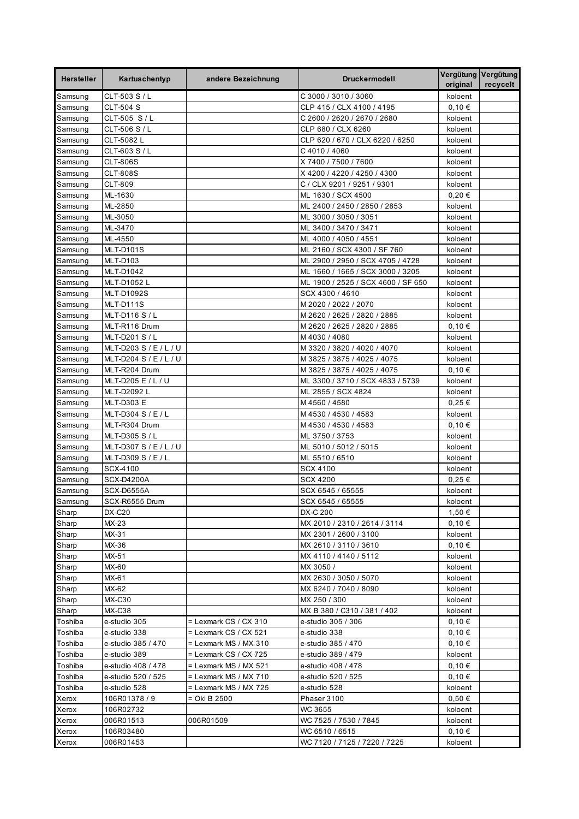| <b>Hersteller</b>  | Kartuschentyp                      | andere Bezeichnung                             | <b>Druckermodell</b>                        | original         | Vergütung Vergütung<br>recycelt |
|--------------------|------------------------------------|------------------------------------------------|---------------------------------------------|------------------|---------------------------------|
| Samsung            | CLT-503 S / L                      |                                                | C 3000 / 3010 / 3060                        | koloent          |                                 |
| Samsung            | <b>CLT-504 S</b>                   |                                                | CLP 415 / CLX 4100 / 4195                   | 0,10€            |                                 |
| Samsung            | CLT-505 S/L                        |                                                | C 2600 / 2620 / 2670 / 2680                 | koloent          |                                 |
| Samsung            | CLT-506 S / L                      |                                                | CLP 680 / CLX 6260                          | koloent          |                                 |
| Samsung            | CLT-5082 L                         |                                                | CLP 620 / 670 / CLX 6220 / 6250             | koloent          |                                 |
| Samsung            | CLT-603 S / L                      |                                                | C4010 / 4060                                | koloent          |                                 |
| Samsung            | <b>CLT-806S</b>                    |                                                | X 7400 / 7500 / 7600                        | koloent          |                                 |
| Samsung            | <b>CLT-808S</b>                    |                                                | X 4200 / 4220 / 4250 / 4300                 | koloent          |                                 |
| Samsung            | <b>CLT-809</b>                     |                                                | C / CLX 9201 / 9251 / 9301                  | koloent          |                                 |
| Samsung            | ML-1630                            |                                                | ML 1630 / SCX 4500                          | $0,20 \in$       |                                 |
| Samsung            | ML-2850                            |                                                | ML 2400 / 2450 / 2850 / 2853                | koloent          |                                 |
| Samsung            | ML-3050                            |                                                | ML 3000 / 3050 / 3051                       | koloent          |                                 |
| Samsung            | ML-3470                            |                                                | ML 3400 / 3470 / 3471                       | koloent          |                                 |
| Samsung            | ML-4550                            |                                                | ML 4000 / 4050 / 4551                       | koloent          |                                 |
| Samsung            | <b>MLT-D101S</b>                   |                                                | ML 2160 / SCX 4300 / SF 760                 | koloent          |                                 |
| Samsung            | MLT-D103                           |                                                | ML 2900 / 2950 / SCX 4705 / 4728            | koloent          |                                 |
| Samsung            | MLT-D1042                          |                                                | ML 1660 / 1665 / SCX 3000 / 3205            | koloent          |                                 |
| Samsung            | MLT-D1052 L                        |                                                | ML 1900 / 2525 / SCX 4600 / SF 650          | koloent          |                                 |
| Samsung            | <b>MLT-D1092S</b>                  |                                                | SCX 4300 / 4610                             | koloent          |                                 |
| Samsung            | MLT-D111S                          |                                                | M 2020 / 2022 / 2070                        | koloent          |                                 |
| Samsung            | MLT-D116 S / L                     |                                                | M 2620 / 2625 / 2820 / 2885                 | koloent          |                                 |
| Samsung            | MLT-R116 Drum<br>MLT-D201 S / L    |                                                | M 2620 / 2625 / 2820 / 2885<br>M4030 / 4080 | 0,10€<br>koloent |                                 |
| Samsung<br>Samsung | MLT-D203 S / E / L / U             |                                                | M 3320 / 3820 / 4020 / 4070                 | koloent          |                                 |
| Samsung            | MLT-D204 S / E / L / U             |                                                | M 3825 / 3875 / 4025 / 4075                 | koloent          |                                 |
| Samsung            | MLT-R204 Drum                      |                                                | M 3825 / 3875 / 4025 / 4075                 | 0,10€            |                                 |
| Samsung            | MLT-D205 E / L / U                 |                                                | ML 3300 / 3710 / SCX 4833 / 5739            | koloent          |                                 |
| Samsung            | MLT-D2092 L                        |                                                | ML 2855 / SCX 4824                          | koloent          |                                 |
| Samsung            | <b>MLT-D303 E</b>                  |                                                | M 4560 / 4580                               | $0,25 \in$       |                                 |
| Samsung            | MLT-D304 S / E / L                 |                                                | M 4530 / 4530 / 4583                        | koloent          |                                 |
| Samsung            | MLT-R304 Drum                      |                                                | M 4530 / 4530 / 4583                        | 0,10€            |                                 |
| Samsung            | MLT-D305 S / L                     |                                                | ML 3750 / 3753                              | koloent          |                                 |
| Samsung            | MLT-D307 S / E / L / U             |                                                | ML 5010 / 5012 / 5015                       | koloent          |                                 |
| Samsung            | MLT-D309 S / E / L                 |                                                | ML 5510 / 6510                              | koloent          |                                 |
| Samsung            | SCX-4100                           |                                                | <b>SCX 4100</b>                             | koloent          |                                 |
| Samsung            | SCX-D4200A                         |                                                | <b>SCX 4200</b>                             | $0,25 \in$       |                                 |
| Samsung            | SCX-D6555A                         |                                                | SCX 6545 / 65555                            | koloent          |                                 |
| Samsung            | SCX-R6555 Drum                     |                                                | SCX 6545 / 65555                            | koloent          |                                 |
| Sharp              | DX-C20                             |                                                | DX-C 200                                    | 1,50 €           |                                 |
| Sharp              | MX-23                              |                                                | MX 2010 / 2310 / 2614 / 3114                | 0,10€            |                                 |
| Sharp              | MX-31                              |                                                | MX 2301 / 2600 / 3100                       | koloent          |                                 |
| Sharp              | MX-36                              |                                                | MX 2610 / 3110 / 3610                       | 0.10€            |                                 |
| Sharp              | MX-51                              |                                                | MX 4110 / 4140 / 5112                       | koloent          |                                 |
| Sharp              | MX-60                              |                                                | MX 3050 /                                   | koloent          |                                 |
| Sharp              | MX-61                              |                                                | MX 2630 / 3050 / 5070                       | koloent          |                                 |
| Sharp              | MX-62                              |                                                | MX 6240 / 7040 / 8090                       | koloent          |                                 |
| Sharp              | <b>MX-C30</b>                      |                                                | MX 250 / 300                                | koloent          |                                 |
| Sharp              | MX-C38                             |                                                | MX B 380 / C310 / 381 / 402                 | koloent          |                                 |
| Toshiba            | e-studio 305                       | $=$ Lexmark CS / CX 310                        | e-studio 305 / 306                          | 0,10€            |                                 |
| Toshiba            | e-studio 338                       | = Lexmark CS / CX 521                          | e-studio 338                                | 0,10€            |                                 |
| Toshiba            | e-studio 385 / 470                 | = Lexmark MS / MX 310                          | e-studio 385 / 470                          | 0,10€            |                                 |
| Toshiba            | e-studio 389                       | = Lexmark CS / CX 725                          | e-studio 389 / 479                          | koloent          |                                 |
| Toshiba            | e-studio 408 / 478                 | = Lexmark MS / MX 521                          | e-studio 408 / 478                          | 0,10€            |                                 |
| Toshiba<br>Toshiba | e-studio 520 / 525<br>e-studio 528 | = Lexmark MS / MX 710<br>= Lexmark MS / MX 725 | e-studio 520 / 525<br>e-studio 528          | 0,10€<br>koloent |                                 |
| Xerox              | 106R01378 / 9                      | = Oki B 2500                                   | Phaser 3100                                 | $0,50 \in$       |                                 |
| Xerox              | 106R02732                          |                                                | WC 3655                                     | koloent          |                                 |
| Xerox              | 006R01513                          | 006R01509                                      | WC 7525 / 7530 / 7845                       | koloent          |                                 |
| Xerox              | 106R03480                          |                                                | WC 6510 / 6515                              | 0,10€            |                                 |
| Xerox              | 006R01453                          |                                                | WC 7120 / 7125 / 7220 / 7225                | koloent          |                                 |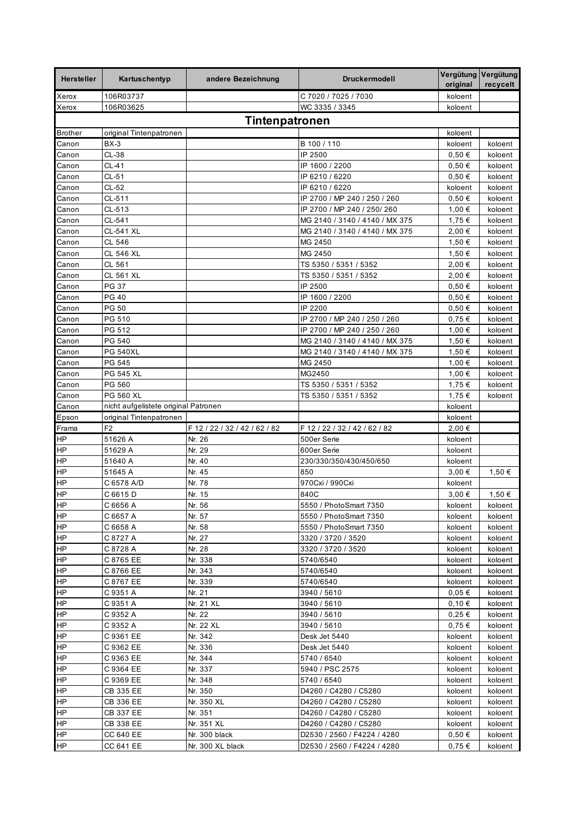| <b>Hersteller</b>      | Kartuschentyp                        | andere Bezeichnung            | <b>Druckermodell</b>                                 | original              | Vergütung Vergütung<br>recycelt |
|------------------------|--------------------------------------|-------------------------------|------------------------------------------------------|-----------------------|---------------------------------|
| Xerox                  | 106R03737                            |                               | C 7020 / 7025 / 7030                                 | koloent               |                                 |
| Xerox                  | 106R03625                            |                               | WC 3335 / 3345                                       | koloent               |                                 |
|                        |                                      | Tintenpatronen                |                                                      |                       |                                 |
| <b>Brother</b>         | original Tintenpatronen              |                               |                                                      | koloent               |                                 |
| Canon                  | $BX-3$                               |                               | B 100 / 110                                          | koloent               | koloent                         |
| Canon                  | CL-38                                |                               | IP 2500                                              | 0,50€                 | koloent                         |
| Canon                  | CL-41                                |                               | IP 1600 / 2200                                       | $0.50 \in$            | koloent                         |
| Canon                  | CL-51                                |                               | IP 6210 / 6220                                       | 0,50€                 | koloent                         |
| Canon                  | CL-52                                |                               | IP 6210 / 6220                                       | koloent               | koloent                         |
| Canon                  | CL-511                               |                               | IP 2700 / MP 240 / 250 / 260                         | 0,50€                 | koloent                         |
| Canon                  | CL-513                               |                               | IP 2700 / MP 240 / 250/ 260                          | 1,00 €                | koloent                         |
| Canon                  | CL-541                               |                               | MG 2140 / 3140 / 4140 / MX 375                       | 1,75 €                | koloent                         |
| Canon                  | CL-541 XL                            |                               | MG 2140 / 3140 / 4140 / MX 375                       | 2,00 €                | koloent                         |
| Canon                  | CL 546                               |                               | MG 2450                                              | 1,50 €                | koloent                         |
| Canon                  | <b>CL 546 XL</b>                     |                               | MG 2450                                              | 1,50 €                | koloent                         |
| Canon                  | CL 561                               |                               | TS 5350 / 5351 / 5352                                | 2,00 €                | koloent                         |
| Canon                  | CL 561 XL                            |                               | TS 5350 / 5351 / 5352                                | 2,00 €                | koloent                         |
| Canon                  | PG 37                                |                               | IP 2500                                              | $0,50 \in$            | koloent                         |
| Canon                  | PG 40                                |                               | IP 1600 / 2200                                       | $0,50 \in$            | koloent                         |
| Canon                  | <b>PG 50</b><br>PG 510               |                               | IP 2200<br>IP 2700 / MP 240 / 250 / 260              | $0,50 \in$            | koloent                         |
| Canon                  | PG 512                               |                               | IP 2700 / MP 240 / 250 / 260                         | $0,75 \in$<br>1,00 €  | koloent<br>koloent              |
| Canon<br>Canon         | PG 540                               |                               | MG 2140 / 3140 / 4140 / MX 375                       | 1,50 €                | koloent                         |
| Canon                  | <b>PG 540XL</b>                      |                               | MG 2140 / 3140 / 4140 / MX 375                       | 1,50 €                | koloent                         |
| Canon                  | PG 545                               |                               | MG 2450                                              | 1,00 €                | koloent                         |
| Canon                  | PG 545 XL                            |                               | MG2450                                               | 1,00 €                | koloent                         |
| Canon                  | PG 560                               |                               | TS 5350 / 5351 / 5352                                | 1,75 €                | koloent                         |
| Canon                  | PG 560 XL                            |                               | TS 5350 / 5351 / 5352                                | 1,75 €                | koloent                         |
| Canon                  | nicht aufgelistete original Patronen |                               |                                                      | koloent               |                                 |
|                        |                                      |                               |                                                      |                       |                                 |
| Epson                  | original Tintenpatronen              |                               |                                                      | koloent               |                                 |
| Frama                  | F <sub>2</sub>                       | F 12 / 22 / 32 / 42 / 62 / 82 | F 12 / 22 / 32 / 42 / 62 / 82                        | 2,00 €                |                                 |
| <b>HP</b>              | 51626 A                              | Nr. 26                        | 500er Serie                                          | koloent               |                                 |
| HP                     | 51629 A                              | Nr. 29                        | 600er Serie                                          | koloent               |                                 |
| HP                     | 51640 A                              | Nr. 40                        | 230/330/350/430/450/650                              | koloent               |                                 |
| <b>HP</b>              | 51645 A                              | Nr. 45                        | 850                                                  | 3,00 €                | 1,50 €                          |
| <b>HP</b>              | C 6578 A/D                           | Nr. 78                        | 970Cxi / 990Cxi                                      | koloent               |                                 |
| <b>HP</b>              | C 6615 D                             | Nr. 15                        | 840C                                                 | 3,00€                 | 1,50 €                          |
| HP                     | C 6656 A                             | Nr. 56                        | 5550 / PhotoSmart 7350                               | koloent               | koloent                         |
| <b>HP</b>              | C 6657 A                             | Nr. 57                        | 5550 / PhotoSmart 7350                               | koloent               | koloent                         |
| HP                     | C 6658 A                             | Nr. 58                        | 5550 / PhotoSmart 7350                               | koloent               | koloent                         |
| <b>HP</b>              | C 8727 A                             | Nr. 27                        | 3320 / 3720 / 3520                                   | koloent               | koloent                         |
| <b>HP</b>              | C 8728 A                             | Nr. 28                        | 3320 / 3720 / 3520                                   | koloent               | koloent                         |
| <b>HP</b>              | C 8765 EE                            | Nr. 338                       | 5740/6540                                            | koloent               | koloent                         |
| <b>HP</b>              | C 8766 EE                            | Nr. 343                       | 5740/6540                                            | koloent               | koloent                         |
| <b>HP</b>              | C 8767 EE                            | Nr. 339                       | 5740/6540                                            | koloent               | koloent                         |
| <b>HP</b>              | C 9351 A                             | Nr. 21                        | 3940 / 5610                                          | $0,05 \in$            | koloent                         |
| <b>HP</b>              | C 9351 A                             | Nr. 21 XL                     | 3940 / 5610                                          | 0,10€                 | koloent                         |
| <b>HP</b>              | C 9352 A                             | Nr. 22                        | 3940 / 5610                                          | $0,25 \in$            | koloent                         |
| <b>HP</b>              | C 9352 A                             | Nr. 22 XL                     | 3940 / 5610                                          | $0,75 \in$            | koloent                         |
| HP                     | C 9361 EE                            | Nr. 342                       | Desk Jet 5440                                        | koloent               | koloent                         |
| <b>HP</b>              | C 9362 EE                            | Nr. 336                       | Desk Jet 5440                                        | koloent               | koloent                         |
| <b>HP</b>              | C 9363 EE                            | Nr. 344                       | 5740 / 6540                                          | koloent               | koloent                         |
| <b>HP</b>              | C 9364 EE                            | Nr. 337                       | 5940 / PSC 2575                                      | koloent               | koloent                         |
| <b>HP</b>              | C 9369 EE                            | Nr. 348                       | 5740 / 6540                                          | koloent               | koloent                         |
| <b>HP</b>              | CB 335 EE                            | Nr. 350                       | D4260 / C4280 / C5280                                | koloent               | koloent                         |
| HP                     | CB 336 EE                            | Nr. 350 XL                    | D4260 / C4280 / C5280                                | koloent               | koloent                         |
| <b>HP</b>              | CB 337 EE                            | Nr. 351                       | D4260 / C4280 / C5280                                | koloent               | koloent                         |
| <b>HP</b><br><b>HP</b> | CB 338 EE<br>CC 640 EE               | Nr. 351 XL<br>Nr. 300 black   | D4260 / C4280 / C5280<br>D2530 / 2560 / F4224 / 4280 | koloent<br>$0,50 \in$ | koloent<br>koloent              |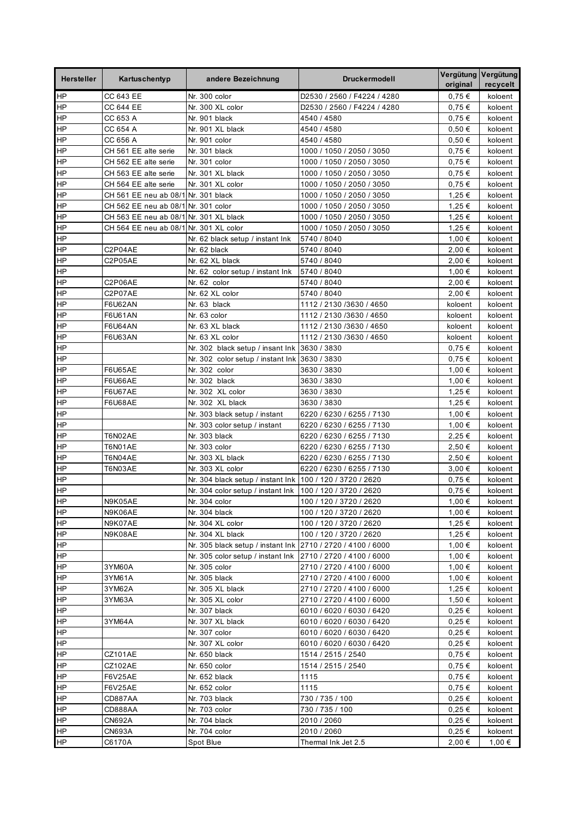| <b>Hersteller</b> | Kartuschentyp                          | andere Bezeichnung                                          | <b>Druckermodell</b>        | original   | Vergütung Vergütung<br>recycelt |
|-------------------|----------------------------------------|-------------------------------------------------------------|-----------------------------|------------|---------------------------------|
| HP                | CC 643 EE                              | Nr. 300 color                                               | D2530 / 2560 / F4224 / 4280 | 0,75€      | koloent                         |
| <b>HP</b>         | CC 644 EE                              | Nr. 300 XL color                                            | D2530 / 2560 / F4224 / 4280 | $0.75 \in$ | koloent                         |
| HP                | CC 653 A                               | Nr. 901 black                                               | 4540 / 4580                 | 0,75€      | koloent                         |
| <b>HP</b>         | CC 654 A                               | Nr. 901 XL black                                            | 4540 / 4580                 | 0,50€      | koloent                         |
| HP                | CC 656 A                               | Nr. 901 color                                               | 4540 / 4580                 | 0,50€      | koloent                         |
| ΗP                | CH 561 EE alte serie                   | Nr. 301 black                                               | 1000 / 1050 / 2050 / 3050   | $0.75 \in$ | koloent                         |
| ΗP                | CH 562 EE alte serie                   | Nr. 301 color                                               | 1000 / 1050 / 2050 / 3050   | 0,75€      | koloent                         |
| <b>HP</b>         | CH 563 EE alte serie                   | Nr. 301 XL black                                            | 1000 / 1050 / 2050 / 3050   | $0.75 \in$ | koloent                         |
| $\overline{H}$    | CH 564 EE alte serie                   | Nr. 301 XL color                                            | 1000 / 1050 / 2050 / 3050   | 0.75€      | koloent                         |
| <b>HP</b>         | CH 561 EE neu ab 08/1 Nr. 301 black    |                                                             | 1000 / 1050 / 2050 / 3050   | 1,25 €     | koloent                         |
| <b>HP</b>         | CH 562 EE neu ab 08/1 Nr. 301 color    |                                                             | 1000 / 1050 / 2050 / 3050   | 1,25 €     | koloent                         |
| <b>HP</b>         | CH 563 EE neu ab 08/1 Nr. 301 XL black |                                                             | 1000 / 1050 / 2050 / 3050   | 1,25 €     | koloent                         |
| <b>HP</b>         | CH 564 EE neu ab 08/1 Nr. 301 XL color |                                                             | 1000 / 1050 / 2050 / 3050   | 1,25 €     | koloent                         |
| ΗP                |                                        | Nr. 62 black setup / instant Ink                            | 5740 / 8040                 | 1,00 €     | koloent                         |
| HP                | C2P04AE                                | Nr. 62 black                                                | 5740 / 8040                 | 2,00 €     | koloent                         |
| <b>HP</b>         | C2P05AE                                | Nr. 62 XL black                                             | 5740 / 8040                 | 2,00 €     | koloent                         |
| $\overline{H}$    |                                        | Nr. 62 color setup / instant lnk                            | 5740 / 8040                 | 1,00 €     | koloent                         |
| <b>HP</b>         | C2P06AE                                | Nr. 62 color                                                | 5740 / 8040                 | 2,00 €     | koloent                         |
| HP                | C2P07AE                                | Nr. 62 XL color                                             | 5740 / 8040                 | 2,00 €     | koloent                         |
| HP                | <b>F6U62AN</b>                         | Nr. 63 black                                                | 1112 / 2130 / 3630 / 4650   | koloent    | koloent                         |
| HP                | F6U61AN                                | Nr. 63 color                                                | 1112 / 2130 / 3630 / 4650   | koloent    | koloent                         |
| ΗP                | F6U64AN                                | Nr. 63 XL black                                             | 1112 / 2130 / 3630 / 4650   | koloent    | koloent                         |
| HP                | F6U63AN                                | Nr. 63 XL color                                             | 1112 / 2130 / 3630 / 4650   | koloent    | koloent                         |
| <b>HP</b>         |                                        | Nr. 302 black setup / insant lnk 3630 / 3830                |                             | $0.75 \in$ | koloent                         |
| <b>HP</b>         |                                        | Nr. 302 color setup / instant Ink 3630 / 3830               |                             | $0,75 \in$ | koloent                         |
| <b>HP</b>         | <b>F6U65AE</b>                         | Nr. 302 color                                               | 3630 / 3830                 | 1,00 €     | koloent                         |
| <b>HP</b>         | <b>F6U66AE</b>                         | Nr. 302 black                                               | 3630 / 3830                 | 1,00 €     | koloent                         |
| <b>HP</b>         | F6U67AE                                | Nr. 302 XL color                                            | 3630 / 3830                 | 1,25 €     | koloent                         |
| <b>HP</b>         | <b>F6U68AE</b>                         | Nr. 302 XL black                                            | 3630 / 3830                 | 1,25 €     | koloent                         |
| ΗP                |                                        | Nr. 303 black setup / instant                               | 6220 / 6230 / 6255 / 7130   | 1,00 €     | koloent                         |
| HP                |                                        | Nr. 303 color setup / instant                               | 6220 / 6230 / 6255 / 7130   | 1,00 €     | koloent                         |
| <b>HP</b>         | T6N02AE                                | Nr. 303 black                                               | 6220 / 6230 / 6255 / 7130   | 2,25 €     | koloent                         |
| <b>HP</b>         | T6N01AE                                | Nr. 303 color                                               | 6220 / 6230 / 6255 / 7130   | 2,50 €     | koloent                         |
| <b>HP</b>         | T6N04AE                                | Nr. 303 XL black                                            | 6220 / 6230 / 6255 / 7130   | 2.50 €     | koloent                         |
| ΗP                | T6N03AE                                | Nr. 303 XL color                                            | 6220 / 6230 / 6255 / 7130   | 3,00 €     | koloent                         |
| ΗP                |                                        | Nr. 304 black setup / instant lnk                           | 100 / 120 / 3720 / 2620     | $0.75 \in$ | koloent                         |
| <b>HP</b>         |                                        | Nr. 304 color setup / instant lnk                           | 100 / 120 / 3720 / 2620     | 0,75€      | koloent                         |
| HP                | N9K05AE                                | Nr. 304 color                                               | 100 / 120 / 3720 / 2620     | 1,00 €     | koloent                         |
| HP                | N9K06AE                                | Nr. 304 black                                               | 100 / 120 / 3720 / 2620     | 1,00 €     | koloent                         |
| <b>HP</b>         | N9K07AE                                | Nr. 304 XL color                                            | 100 / 120 / 3720 / 2620     | 1,25 €     | koloent                         |
| $\overline{H}$    | N9K08AE                                | Nr. 304 XL black                                            | 100 / 120 / 3720 / 2620     | 1,25 €     | koloent                         |
| HP                |                                        | Nr. 305 black setup / instant Ink 2710 / 2720 / 4100 / 6000 |                             | 1,00 €     | koloent                         |
| <b>HP</b>         |                                        | Nr. 305 color setup / instant lnk                           | 2710 / 2720 / 4100 / 6000   | 1,00 €     | koloent                         |
| <b>HP</b>         | 3YM60A                                 | Nr. 305 color                                               | 2710 / 2720 / 4100 / 6000   | 1,00 €     | koloent                         |
| <b>HP</b>         | 3YM61A                                 | Nr. 305 black                                               | 2710 / 2720 / 4100 / 6000   | 1,00 €     | koloent                         |
| <b>HP</b>         | 3YM62A                                 | Nr. 305 XL black                                            | 2710 / 2720 / 4100 / 6000   | 1,25 €     | koloent                         |
| <b>HP</b>         | 3YM63A                                 | Nr. 305 XL color                                            | 2710 / 2720 / 4100 / 6000   | 1,50 €     | koloent                         |
| <b>HP</b>         |                                        | Nr. 307 black                                               | 6010 / 6020 / 6030 / 6420   | 0,25 €     | koloent                         |
| HP                | 3YM64A                                 | Nr. 307 XL black                                            | 6010 / 6020 / 6030 / 6420   | 0,25 €     | koloent                         |
| HP                |                                        | Nr. 307 color                                               | 6010 / 6020 / 6030 / 6420   | $0,25 \in$ | koloent                         |
| $\overline{H}$    |                                        | Nr. 307 XL color                                            | 6010 / 6020 / 6030 / 6420   | $0,25 \in$ | koloent                         |
| <b>HP</b>         | CZ101AE                                | Nr. 650 black                                               | 1514 / 2515 / 2540          | 0,75€      | koloent                         |
| <b>HP</b>         | CZ102AE                                | Nr. 650 color                                               | 1514 / 2515 / 2540          | 0,75€      | koloent                         |
| <b>HP</b>         | F6V25AE                                | Nr. 652 black                                               | 1115                        | 0,75€      | koloent                         |
| <b>HP</b>         | F6V25AE                                | Nr. 652 color                                               | 1115                        | $0,75 \in$ | koloent                         |
| <b>HP</b>         | CD887AA                                | Nr. 703 black                                               | 730 / 735 / 100             | 0,25 €     | koloent                         |
| HP                | CD888AA                                | Nr. 703 color                                               | 730 / 735 / 100             | $0,25 \in$ | koloent                         |
| HP                | CN692A                                 | Nr. 704 black                                               | 2010 / 2060                 | $0,25 \in$ | koloent                         |
| <b>HP</b>         | CN693A                                 | Nr. 704 color                                               | 2010 / 2060                 | 0,25€      | koloent                         |
| HP                | C6170A                                 | Spot Blue                                                   | Thermal Ink Jet 2.5         | 2,00 €     | 1,00 €                          |